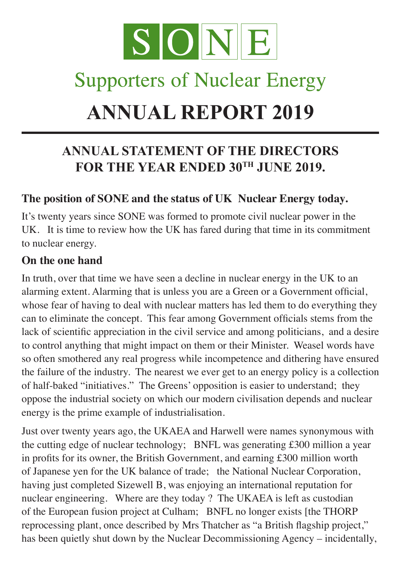

## **Supporters of Nuclear Energy**

# **ANNUAL REPORT 2019**

### **ANNUAL STATEMENT OF THE DIRECTORS** FOR THE YEAR ENDED 30TH JUNE 2019.

#### **The position of SONE and the status of UK Nuclear Energy today.**

It's twenty years since SONE was formed to promote civil nuclear power in the UK. It is time to review how the UK has fared during that time in its commitment to nuclear energy.

#### **On the one hand**

In truth, over that time we have seen a decline in nuclear energy in the UK to an alarming extent. Alarming that is unless you are a Green or a Government official, whose fear of having to deal with nuclear matters has led them to do everything they can to eliminate the concept. This fear among Government officials stems from the lack of scientific appreciation in the civil service and among politicians, and a desire to control anything that might impact on them or their Minister. Weasel words have so often smothered any real progress while incompetence and dithering have ensured the failure of the industry. The nearest we ever get to an energy policy is a collection of half-baked "initiatives." The Greens' opposition is easier to understand; they oppose the industrial society on which our modern civilisation depends and nuclear energy is the prime example of industrialisation.

Just over twenty years ago, the UKAEA and Harwell were names synonymous with the cutting edge of nuclear technology; BNFL was generating £300 million a year in profits for its owner, the British Government, and earning £300 million worth of Japanese yen for the UK balance of trade; the National Nuclear Corporation, having just completed Sizewell B, was enjoying an international reputation for nuclear engineering. Where are they today ? The UKAEA is left as custodian of the European fusion project at Culham; BNFL no longer exists [the THORP reprocessing plant, once described by Mrs Thatcher as "a British flagship project," has been quietly shut down by the Nuclear Decommissioning Agency – incidentally,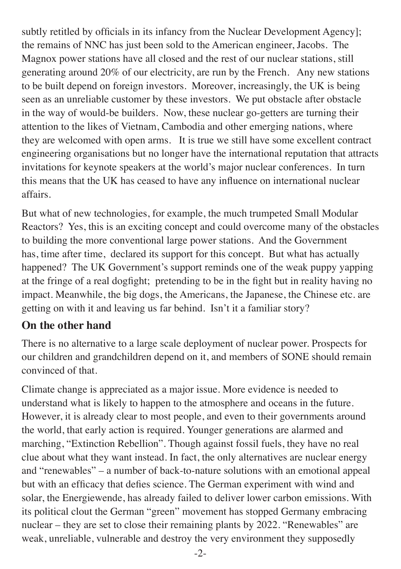subtly retitled by officials in its infancy from the Nuclear Development Agency]; the remains of NNC has just been sold to the American engineer, Jacobs. The Magnox power stations have all closed and the rest of our nuclear stations, still generating around 20% of our electricity, are run by the French. Any new stations to be built depend on foreign investors. Moreover, increasingly, the UK is being seen as an unreliable customer by these investors. We put obstacle after obstacle in the way of would-be builders. Now, these nuclear go-getters are turning their attention to the likes of Vietnam, Cambodia and other emerging nations, where they are welcomed with open arms. It is true we still have some excellent contract engineering organisations but no longer have the international reputation that attracts invitations for keynote speakers at the world's major nuclear conferences. In turn this means that the UK has ceased to have any influence on international nuclear affairs.

But what of new technologies, for example, the much trumpeted Small Modular Reactors? Yes, this is an exciting concept and could overcome many of the obstacles to building the more conventional large power stations. And the Government has, time after time, declared its support for this concept. But what has actually happened? The UK Government's support reminds one of the weak puppy yapping at the fringe of a real dogfight; pretending to be in the fight but in reality having no impact. Meanwhile, the big dogs, the Americans, the Japanese, the Chinese etc. are getting on with it and leaving us far behind. Isn't it a familiar story?

#### **On the other hand**

There is no alternative to a large scale deployment of nuclear power. Prospects for our children and grandchildren depend on it, and members of SONE should remain convinced of that.

Climate change is appreciated as a major issue. More evidence is needed to understand what is likely to happen to the atmosphere and oceans in the future. However, it is already clear to most people, and even to their governments around the world, that early action is required. Younger generations are alarmed and marching, "Extinction Rebellion". Though against fossil fuels, they have no real clue about what they want instead. In fact, the only alternatives are nuclear energy and "renewables" – a number of back-to-nature solutions with an emotional appeal but with an efficacy that defies science. The German experiment with wind and solar, the Energiewende, has already failed to deliver lower carbon emissions. With its political clout the German "green" movement has stopped Germany embracing nuclear – they are set to close their remaining plants by 2022. "Renewables" are weak, unreliable, vulnerable and destroy the very environment they supposedly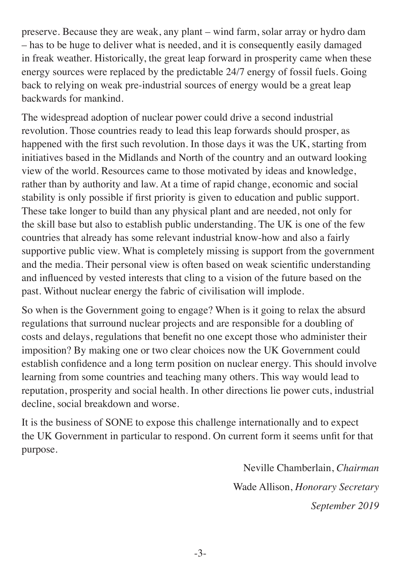preserve. Because they are weak, any plant – wind farm, solar array or hydro dam – has to be huge to deliver what is needed, and it is consequently easily damaged in freak weather. Historically, the great leap forward in prosperity came when these energy sources were replaced by the predictable 24/7 energy of fossil fuels. Going back to relying on weak pre-industrial sources of energy would be a great leap backwards for mankind.

The widespread adoption of nuclear power could drive a second industrial revolution. Those countries ready to lead this leap forwards should prosper, as happened with the first such revolution. In those days it was the UK, starting from initiatives based in the Midlands and North of the country and an outward looking view of the world. Resources came to those motivated by ideas and knowledge, rather than by authority and law. At a time of rapid change, economic and social stability is only possible if first priority is given to education and public support. These take longer to build than any physical plant and are needed, not only for the skill base but also to establish public understanding. The UK is one of the few countries that already has some relevant industrial know-how and also a fairly supportive public view. What is completely missing is support from the government and the media. Their personal view is often based on weak scientific understanding and influenced by vested interests that cling to a vision of the future based on the past. Without nuclear energy the fabric of civilisation will implode.

So when is the Government going to engage? When is it going to relax the absurd regulations that surround nuclear projects and are responsible for a doubling of costs and delays, regulations that benefit no one except those who administer their imposition? By making one or two clear choices now the UK Government could establish confidence and a long term position on nuclear energy. This should involve learning from some countries and teaching many others. This way would lead to reputation, prosperity and social health. In other directions lie power cuts, industrial decline, social breakdown and worse.

It is the business of SONE to expose this challenge internationally and to expect the UK Government in particular to respond. On current form it seems unfit for that purpose.

> Neville Chamberlain, *Chairman* Wade Allison, *Honorary Secretary September 2019*